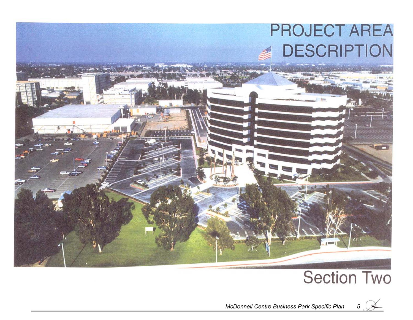

# **Section Two**



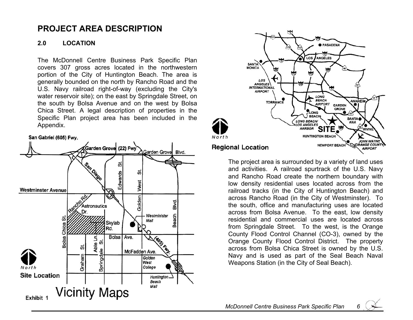### **PROJECT AREA DESCRIPTION**

#### **2.0 LOCATION**

The McDonnell Centre Business Park Specific Plan covers 307 gross acres located in the northwestern portion of the City of Huntington Beach. The area is generally bounded on the north by Rancho Road and the U.S. Navy railroad right-of-way (excluding the City's water reservoir site); on the east by Springdale Street, on the south by Bolsa Avenue and on the west by Bolsa Chica Street. A legal description of properties in the Specific Plan project area has been included in the Appendix.







The project area is surrounded by a variety of land uses and activities. A railroad spurtrack of the U.S. Navy and Rancho Road create the northern boundary with low density residential uses located across from the railroad tracks (in the City of Huntington Beach) and across Rancho Road (in the City of Westminster). To the south, office and manufacturing uses are located across from Bolsa Avenue. To the east, low density residential and commercial uses are located across from Springdale Street. To the west, is the Orange County Flood Control Channel (CO-3), owned by the Orange County Flood Control District. The property across from Bolsa Chica Street is owned by the U.S. Navy and is used as part of the Seal Beach Naval Weapons Station (in the City of Seal Beach).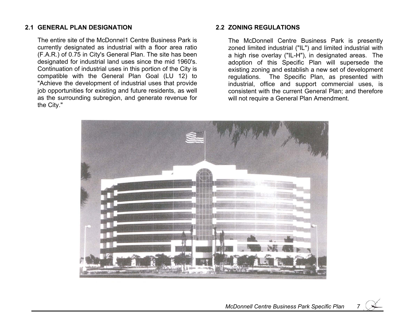#### **2.1 GENERAL PLAN DESIGNATION**

The entire site of the McDonnel1 Centre Business Park is currently designated as industrial with a floor area ratio (F.A.R.) of 0.75 in City's General Plan. The site has been designated for industrial land uses since the mid 1960's. Continuation of industrial uses in this portion of the City is compatible with the General Plan Goal (LU 12) to "Achieve the development of industrial uses that provide job opportunities for existing and future residents, as well as the surrounding subregion, and generate revenue for the City."

#### **2.2 ZONING REGULATIONS**

The McDonnell Centre Business Park is presently zoned limited industrial ("IL") and limited industrial with a high rise overlay ("IL-H"), in designated areas. The adoption of this Specific Plan will supersede the existing zoning and establish a new set of development regulations. The Specific Plan, as presented with industrial, office and support commercial uses, is consistent with the current General Plan; and therefore will not require a General Plan Amendment.



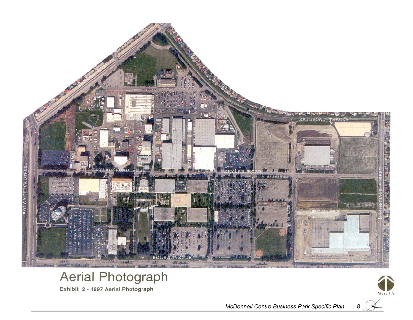

## Aerial Photograph

Exhibit 2 - 1997 Aerial Photograph



*McDonnell Centre Business Park Specific Plan 8*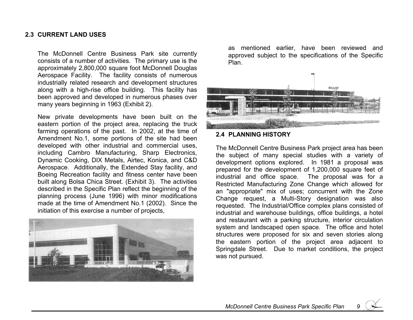#### **2.3 CURRENT LAND USES**

The McDonnell Centre Business Park site currently consists of a number of activities. The primary use is the approximately 2,800,000 square foot McDonnell Douglas Aerospace Facility. The facility consists of numerous industrially related research and development structures along with a high-rise office building. This facility has been approved and developed in numerous phases over many years beginning in 1963 (Exhibit 2).

New private developments have been built on the eastern portion of the project area, replacing the truck farming operations of the past. In 2002, at the time of Amendment No.1, some portions of the site had been developed with other industrial and commercial uses, including Cambro Manufacturing, Sharp Electronics, Dynamic Cooking, DIX Metals, Airtec, Konica, and C&D Aerospace. Additionally, the Extended Stay facility, and Boeing Recreation facility and fitness center have been built along Bolsa Chica Street. (Exhibit 3). The activities described in the Specific Plan reflect the beginning of the planning process (June 1996) with minor modifications made at the time of Amendment No.1 (2002). Since the initiation of this exercise a number of projects,



as mentioned earlier, have been reviewed and approved subject to the specifications of the Specific Plan.



#### **2.4 PLANNING HISTORY**

The McDonnell Centre Business Park project area has been the subject of many special studies with a variety of development options explored. In 1981 a proposal was prepared for the development of 1,200,000 square feet of industrial and office space. The proposal was for a Restricted Manufacturing Zone Change which allowed for an "appropriate" mix of uses; concurrent with the Zone Change request, a Multi-Story designation was also requested. The Industrial/Office complex plans consisted of industrial and warehouse buildings, office buildings, a hotel and restaurant with a parking structure, interior circulation system and landscaped open space. The office and hotel structures were proposed for six and seven stories along the eastern portion of the project area adjacent to Springdale Street. Due to market conditions, the project was not pursued.